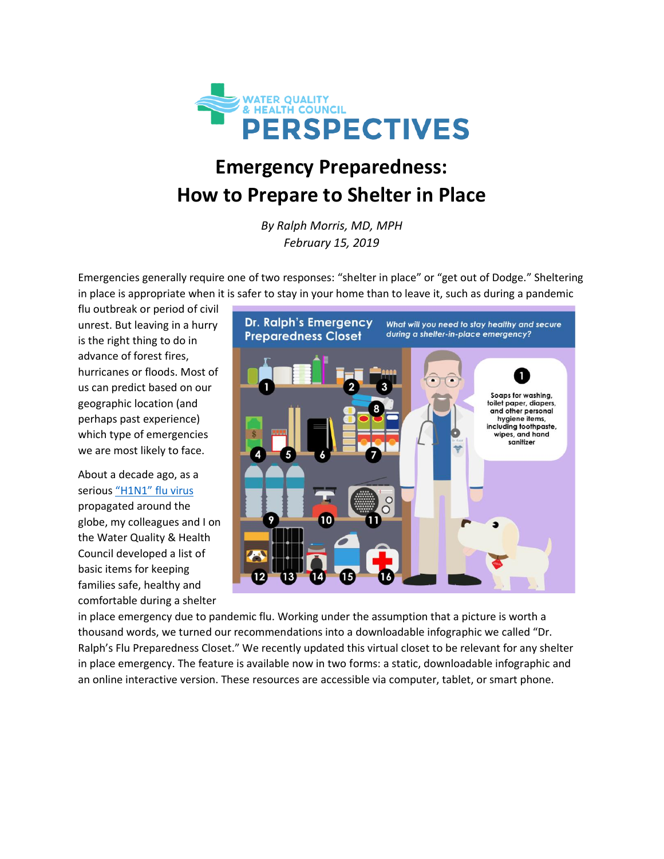

## **Emergency Preparedness: How to Prepare to Shelter in Place**

*By Ralph Morris, MD, MPH February 15, 2019*

Emergencies generally require one of two responses: "shelter in place" or "get out of Dodge." Sheltering in place is appropriate when it is safer to stay in your home than to leave it, such as during a pandemic

flu outbreak or period of civil unrest. But leaving in a hurry is the right thing to do in advance of forest fires, hurricanes or floods. Most of us can predict based on our geographic location (and perhaps past experience) which type of emergencies we are most likely to face.

About a decade ago, as a serious ["H1N1" flu virus](https://www.cdc.gov/flu/pandemic-resources/2009-h1n1-pandemic.html) propagated around the globe, my colleagues and I on the Water Quality & Health Council developed a list of basic items for keeping families safe, healthy and comfortable during a shelter



in place emergency due to pandemic flu. Working under the assumption that a picture is worth a thousand words, we turned our recommendations into a downloadable infographic we called "Dr. Ralph's Flu Preparedness Closet." We recently updated this virtual closet to be relevant for any shelter in place emergency. The feature is available now in two forms: a static, downloadable infographic and an online interactive version. These resources are accessible via computer, tablet, or smart phone.